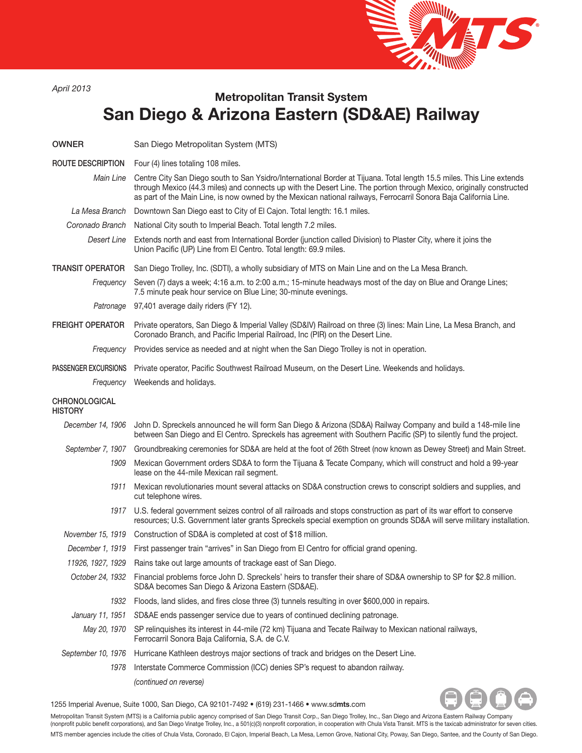

## **Metropolitan Transit System San Diego & Arizona Eastern (SD&AE) Railway**

| <b>OWNER</b>                           | San Diego Metropolitan System (MTS)                                                                                                                                                                                                                                                                                                                                |
|----------------------------------------|--------------------------------------------------------------------------------------------------------------------------------------------------------------------------------------------------------------------------------------------------------------------------------------------------------------------------------------------------------------------|
| ROUTE DESCRIPTION                      | Four (4) lines totaling 108 miles.                                                                                                                                                                                                                                                                                                                                 |
| Main Line                              | Centre City San Diego south to San Ysidro/International Border at Tijuana. Total length 15.5 miles. This Line extends<br>through Mexico (44.3 miles) and connects up with the Desert Line. The portion through Mexico, originally constructed<br>as part of the Main Line, is now owned by the Mexican national railways, Ferrocarril Sonora Baja California Line. |
| La Mesa Branch                         | Downtown San Diego east to City of El Cajon. Total length: 16.1 miles.                                                                                                                                                                                                                                                                                             |
| Coronado Branch                        | National City south to Imperial Beach. Total length 7.2 miles.                                                                                                                                                                                                                                                                                                     |
| <b>Desert Line</b>                     | Extends north and east from International Border (junction called Division) to Plaster City, where it joins the<br>Union Pacific (UP) Line from El Centro. Total length: 69.9 miles.                                                                                                                                                                               |
| <b>TRANSIT OPERATOR</b>                | San Diego Trolley, Inc. (SDTI), a wholly subsidiary of MTS on Main Line and on the La Mesa Branch.                                                                                                                                                                                                                                                                 |
| Frequency                              | Seven (7) days a week; 4:16 a.m. to 2:00 a.m.; 15-minute headways most of the day on Blue and Orange Lines;<br>7.5 minute peak hour service on Blue Line; 30-minute evenings.                                                                                                                                                                                      |
| Patronage                              | 97,401 average daily riders (FY 12).                                                                                                                                                                                                                                                                                                                               |
| <b>FREIGHT OPERATOR</b>                | Private operators, San Diego & Imperial Valley (SD&IV) Railroad on three (3) lines: Main Line, La Mesa Branch, and<br>Coronado Branch, and Pacific Imperial Railroad, Inc (PIR) on the Desert Line.                                                                                                                                                                |
| Frequency                              | Provides service as needed and at night when the San Diego Trolley is not in operation.                                                                                                                                                                                                                                                                            |
| PASSENGER EXCURSIONS                   | Private operator, Pacific Southwest Railroad Museum, on the Desert Line. Weekends and holidays.                                                                                                                                                                                                                                                                    |
| Frequency                              | Weekends and holidays.                                                                                                                                                                                                                                                                                                                                             |
| <b>CHRONOLOGICAL</b><br><b>HISTORY</b> |                                                                                                                                                                                                                                                                                                                                                                    |
| December 14, 1906                      | John D. Spreckels announced he will form San Diego & Arizona (SD&A) Railway Company and build a 148-mile line<br>between San Diego and El Centro. Spreckels has agreement with Southern Pacific (SP) to silently fund the project.                                                                                                                                 |
| September 7, 1907                      | Groundbreaking ceremonies for SD&A are held at the foot of 26th Street (now known as Dewey Street) and Main Street.                                                                                                                                                                                                                                                |
| 1909                                   | Mexican Government orders SD&A to form the Tijuana & Tecate Company, which will construct and hold a 99-year<br>lease on the 44-mile Mexican rail segment.                                                                                                                                                                                                         |
| 1911                                   | Mexican revolutionaries mount several attacks on SD&A construction crews to conscript soldiers and supplies, and<br>cut telephone wires.                                                                                                                                                                                                                           |
|                                        | 1917 U.S. federal government seizes control of all railroads and stops construction as part of its war effort to conserve<br>resources; U.S. Government later grants Spreckels special exemption on grounds SD&A will serve military installation.                                                                                                                 |
| November 15, 1919                      | Construction of SD&A is completed at cost of \$18 million.                                                                                                                                                                                                                                                                                                         |
| December 1, 1919                       | First passenger train "arrives" in San Diego from El Centro for official grand opening.                                                                                                                                                                                                                                                                            |
|                                        | 11926, 1927, 1929 Rains take out large amounts of trackage east of San Diego.                                                                                                                                                                                                                                                                                      |
|                                        | October 24, 1932 Financial problems force John D. Spreckels' heirs to transfer their share of SD&A ownership to SP for \$2.8 million.<br>SD&A becomes San Diego & Arizona Eastern (SD&AE).                                                                                                                                                                         |
| 1932                                   | Floods, land slides, and fires close three (3) tunnels resulting in over \$600,000 in repairs.                                                                                                                                                                                                                                                                     |
| January 11, 1951                       | SD&AE ends passenger service due to years of continued declining patronage.                                                                                                                                                                                                                                                                                        |
| May 20, 1970                           | SP relinquishes its interest in 44-mile (72 km) Tijuana and Tecate Railway to Mexican national railways,<br>Ferrocarril Sonora Baja California, S.A. de C.V.                                                                                                                                                                                                       |
| September 10, 1976                     | Hurricane Kathleen destroys major sections of track and bridges on the Desert Line.                                                                                                                                                                                                                                                                                |
| 1978                                   | Interstate Commerce Commission (ICC) denies SP's request to abandon railway.                                                                                                                                                                                                                                                                                       |
|                                        | (continued on reverse)                                                                                                                                                                                                                                                                                                                                             |

1255 Imperial Avenue, Suite 1000, San Diego, CA 92101-7492 • (619) 231-1466 • www.sd**mts**.com

Metropolitan Transit System (MTS) is a California public agency comprised of San Diego Transit Corp., San Diego Trolley, Inc., San Diego and Arizona Eastern Railway Company<br>(nonprofit public benefit corporations), and San MTS member agencies include the cities of Chula Vista, Coronado, El Cajon, Imperial Beach, La Mesa, Lemon Grove, National City, Poway, San Diego, Santee, and the County of San Diego.